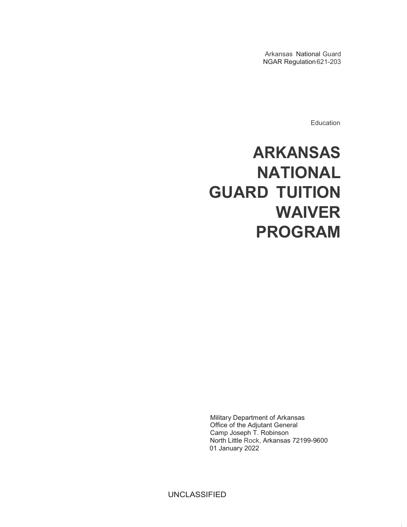Arkansas National Guard NGAR Regulation621-203

**Education** 

# **ARKANSAS NATIONAL GUARD TUITION WAIVER PROGRAM**

Military Department of Arkansas Office of the Adjutant General Camp Joseph T. Robinson North Little Rock, Arkansas 72199-9600 01 January 2022

UNCLASSIFIED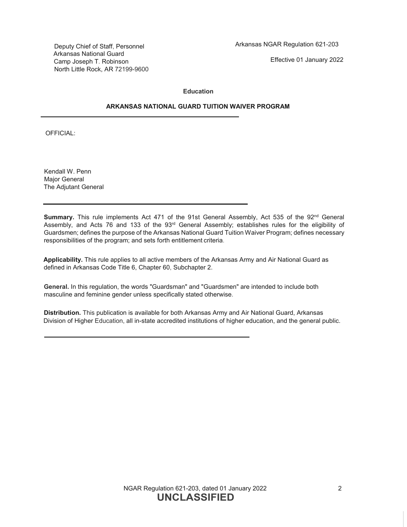Deputy Chief of Staff, Personnel Arkansas National Guard Camp Joseph T. Robinson North Little Rock, AR 72199-9600

Effective 01 January 2022

#### **Education**

# **ARKANSAS NATIONAL GUARD TUITION WAIVER PROGRAM**

OFFICIAL:

Kendall W. Penn Major General The Adjutant General

**Summary.** This rule implements Act 471 of the 91st General Assembly, Act 535 of the 92<sup>nd</sup> General Assembly, and Acts 76 and 133 of the 93<sup>rd</sup> General Assembly; establishes rules for the eligibility of Guardsmen; defines the purpose of the Arkansas National Guard Tuition Waiver Program; defines necessary responsibilities of the program; and sets forth entitlement criteria.

**Applicability.** This rule applies to all active members of the Arkansas Army and Air National Guard as defined in Arkansas Code Title 6, Chapter 60, Subchapter 2.

**General.** In this regulation, the words "Guardsman" and "Guardsmen" are intended to include both masculine and feminine gender unless specifically stated otherwise.

**Distribution.** This publication is available for both Arkansas Army and Air National Guard, Arkansas Division of Higher Education, all in-state accredited institutions of higher education, and the general public.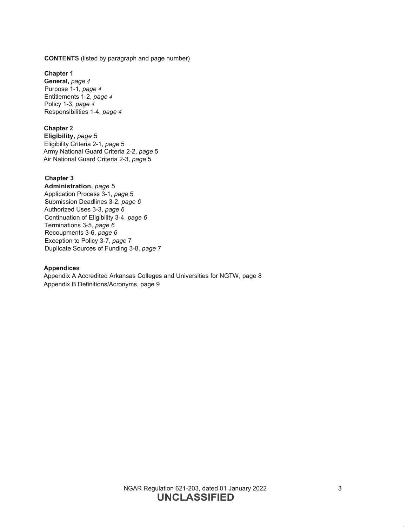**CONTENTS** (listed by paragraph and page number)

**Chapter 1 General,** *page 4* Purpose 1-1, *page 4* Entitlements 1-2, *page 4* Policy 1-3, *page 4* Responsibilities 1-4, *page 4*

## **Chapter 2**

**Eligibility,** *page* 5 Eligibility Criteria 2-1, *page* 5 Army National Guard Criteria 2-2, *page* 5 Air National Guard Criteria 2-3, *page* 5

# **Chapter 3**

**Administration,** *page* 5 Application Process 3-1, *page* 5 Submission Deadlines 3-2, *page 6* Authorized Uses 3-3, *page 6* Continuation of Eligibility 3-4, *page 6* Terminations 3-5, *page 6* Recoupments 3-6, *page 6* Exception to Policy 3-7, *page* 7 Duplicate Sources of Funding 3-8, *page* 7

#### **Appendices**

Appendix A Accredited Arkansas Colleges and Universities for NGTW, page 8 Appendix B Definitions/Acronyms, page 9

> NGAR Regulation 621-203, dated 01 January 2022 3 **UNCLASSIFIED**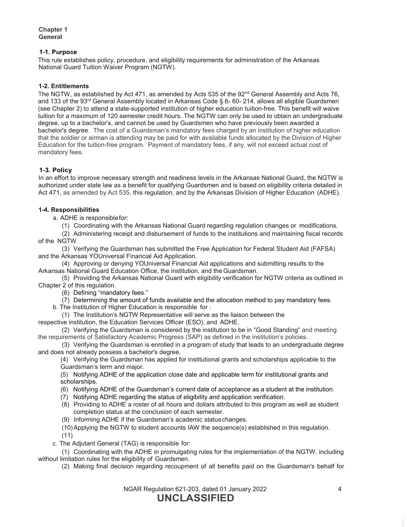## **1-1. Purpose**

This rule establishes policy, procedure, and eligibility requirements for administration of the Arkansas National Guard Tuition Waiver Program (NGTW).

## **1-2. Entitlements**

The NGTW, as established by Act 471, as amended by Acts 535 of the 92<sup>nd</sup> General Assembly and Acts 76, and 133 of the 93<sup>rd</sup> General Assembly located in Arkansas Code § 6- 60- 214, allows all eligible Guardsmen (see Chapter 2) to attend a state-supported institution of higher education tuition-free. This benefit will waive tuition for a maximum of 120 semester credit hours. The NGTW can only be used to obtain an undergraduate degree, up to a bachelor's, and cannot be used by Guardsmen who have previously been awarded a bachelor's degree. The cost of a Guardsman's mandatory fees charged by an institution of higher education that the soldier or airman is attending may be paid for with available funds allocated by the Division of Higher Education for the tuition-free program. Payment of mandatory fees, if any, will not exceed actual cost of mandatory fees.

## **1-3. Policy**

In an effort to improve necessary strength and readiness levels in the Arkansas National Guard, the NGTW is authorized under state law as a benefit for qualifying Guardsmen and is based on eligibility criteria detailed in Act 471, as amended by Act 535, this regulation, and by the Arkansas Division of Higher Education (ADHE).

#### **1-4. Responsibilities**

a. ADHE is responsiblefor:

(1) Coordinating with the Arkansas National Guard regarding regulation changes or modifications.

(2) Administering receipt and disbursement of funds to the institutions and maintaining fiscal records of the NGTW.

(3) Verifying the Guardsman has submitted the Free Application for Federal Student Aid (FAFSA) and the Arkansas YOUniversal Financial Aid Application.

(4) Approving or denying YOUniversal Financial Aid applications and submitting results to the Arkansas National Guard Education Office, the institution, and theGuardsman.

(5) Providing the Arkansas National Guard with eligibility verification for NGTW criteria as outlined in Chapter 2 of this regulation.

(6) Defining "mandatory fees."

(7) Determining the amount of funds available and the allocation method to pay mandatory fees.

b. The Institution of Higher Education is responsible for :

(1) The Institution's NGTW Representative will serve as the liaison between the respective institution, the Education Services Officer (ESO), and ADHE.

(2) Verifying the Guardsman is considered by the institution to be in "Good Standing" and meeting the requirements of Satisfactory Academic Progress (SAP) as defined in the institution's policies.

(3) Verifying the Guardsman is enrolled in a program of study that leads to an undergraduate degree and does not already possess a bachelor's degree,

(4) Verifying the Guardsman has applied for institutional grants and scholarships applicable to the Guardsman's term and major.

(5) Notifying ADHE of the application close date and applicable term for institutional grants and scholarships.

- (6) Notifying ADHE of the Guardsman's current date of acceptance as a student at the institution.
- (7) Notifying ADHE regarding the status of eligibility and application verification.
- (8) Providing to ADHE a roster of all hours and dollars attributed to this program as well as student completion status at the conclusion of each semester.
- (9) Informing ADHE if the Guardsman's academic statuschanges.

(10)Applying the NGTW to student accounts IAW the sequence(s) established in this regulation.

- (11)
- c. The Adjutant General (TAG) is responsible for:

(1) Coordinating with the ADHE in promulgating rules for the implementation of the NGTW, including without limitation rules for the eligibility of Guardsmen.

(2) Making final decision regarding recoupment of all benefits paid on the Guardsman's behalf for

NGAR Regulation 621-203, dated 01 January 2022 4 **UNCLASSIFIED**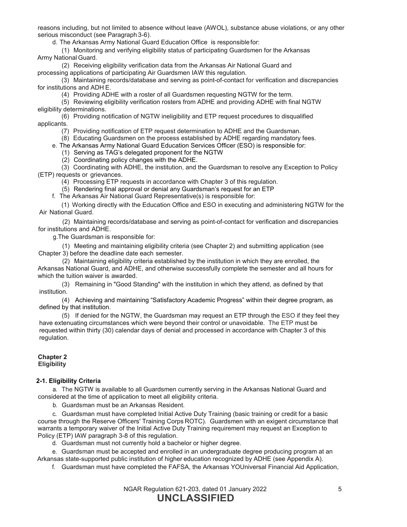reasons including, but not limited to absence without leave (AWOL), substance abuse violations, or any other serious misconduct (see Paragraph 3-6).

d. The Arkansas Army National Guard Education Office is responsible for:

(1) Monitoring and verifying eligibility status of participating Guardsmen for the Arkansas Army National Guard.

(2) Receiving eligibility verification data from the Arkansas Air National Guard and processing applications of participating Air Guardsmen IAW this regulation.

(3) Maintaining records/database and serving as point-of-contact for verification and discrepancies for institutions and ADH E.

(4) Providing ADHE with a roster of all Guardsmen requesting NGTW for the term.

(5) Reviewing eligibility verification rosters from ADHE and providing ADHE with final NGTW eligibility determinations.

(6) Providing notification of NGTW ineligibility and ETP request procedures to disqualified applicants.

(7) Providing notification of ETP request determination to ADHE and the Guardsman.

(8) Educating Guardsmen on the process established by ADHE regarding mandatory fees.

e. The Arkansas Army National Guard Education Services Officer (ESO) is responsible for:

(1) Serving as TAG's delegated proponent for the NGTW

(2) Coordinating policy changes with the ADHE.

(3) Coordinating with ADHE, the institution, and the Guardsman to resolve any Exception to Policy (ETP) requests or grievances.

(4) Processing ETP requests in accordance with Chapter 3 of this regulation.

(5) Rendering final approval or denial any Guardsman's request for an ETP

f. The Arkansas Air National Guard Representative(s) is responsible for:

(1) Working directly with the Education Office and ESO in executing and administering NGTW for the Air National Guard.

(2) Maintaining records/database and serving as point-of-contact for verification and discrepancies for institutions and ADHE.

g.The Guardsman is responsible for:

(1) Meeting and maintaining eligibility criteria (see Chapter 2) and submitting application (see Chapter 3) before the deadline date each semester.

(2) Maintaining eligibility criteria established by the institution in which they are enrolled, the Arkansas National Guard, and ADHE, and otherwise successfully complete the semester and all hours for which the tuition waiver is awarded.

(3) Remaining in "Good Standing" with the institution in which they attend, as defined by that institution.

(4) Achieving and maintaining "Satisfactory Academic Progress" within their degree program, as defined by that institution.

(5) If denied for the NGTW, the Guardsman may request an ETP through the ESO if they feel they have extenuating circumstances which were beyond their control or unavoidable. The ETP must be requested within thirty (30) calendar days of denial and processed in accordance with Chapter 3 of this regulation.

#### **Chapter 2 Eligibility**

# **2-1. Eligibility Criteria**

a. The NGTW is available to all Guardsmen currently serving in the Arkansas National Guard and considered at the time of application to meet all eligibility criteria.

b. Guardsman must be an Arkansas Resident.

c. Guardsman must have completed Initial Active Duty Training (basic training or credit for a basic course through the Reserve Officers' Training Corps ROTC). Guardsmen with an exigent circumstance that warrants a temporary waiver of the Initial Active Duty Training requirement may request an Exception to Policy (ETP) IAW paragraph 3-8 of this regulation.

d. Guardsman must not currently hold a bachelor or higher degree.

e. Guardsman must be accepted and enrolled in an undergraduate degree producing program at an Arkansas state-supported public institution of higher education recognized by ADHE (see Appendix A).

f. Guardsman must have completed the FAFSA, the Arkansas YOUniversal Financial Aid Application,

NGAR Regulation 621-203, dated 01 January 2022 5 **UNCLASSIFIED**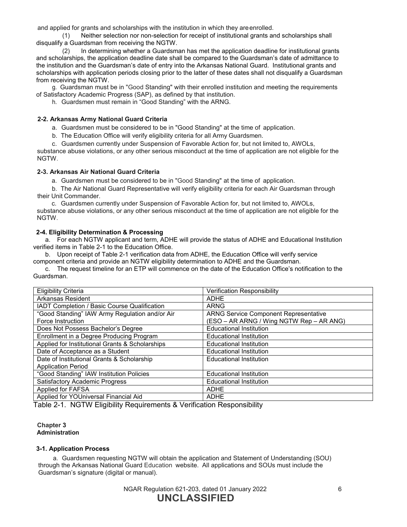and applied for grants and scholarships with the institution in which they areenrolled.

(1) Neither selection nor non-selection for receipt of institutional grants and scholarships shall disqualify a Guardsman from receiving the NGTW.

(2) In determining whether a Guardsman has met the application deadline for institutional grants and scholarships, the application deadline date shall be compared to the Guardsman's date of admittance to the institution and the Guardsman's date of entry into the Arkansas National Guard. Institutional grants and scholarships with application periods closing prior to the latter of these dates shall not disqualify a Guardsman from receiving the NGTW.

g. Guardsman must be in "Good Standing" with their enrolled institution and meeting the requirements of Satisfactory Academic Progress (SAP), as defined by that institution.

h. Guardsmen must remain in "Good Standing" with the ARNG.

## **2-2. Arkansas Army National Guard Criteria**

a. Guardsmen must be considered to be in "Good Standing" at the time of application.

b. The Education Office will verify eligibility criteria for all Army Guardsmen.

c. Guardsmen currently under Suspension of Favorable Action for, but not limited to, AWOLs,

substance abuse violations, or any other serious misconduct at the time of application are not eligible for the NGTW.

## **2-3. Arkansas Air National Guard Criteria**

a. Guardsmen must be considered to be in "Good Standing" at the time of application.

b. The Air National Guard Representative will verify eligibility criteria for each Air Guardsman through their Unit Commander.

c. Guardsmen currently under Suspension of Favorable Action for, but not limited to, AWOLs,

substance abuse violations, or any other serious misconduct at the time of application are not eligible for the NGTW.

## **2-4. Eligibility Determination & Processing**

a. For each NGTW applicant and term, ADHE will provide the status of ADHE and Educational Institution verified items in Table 2-1 to the Education Office.

b. Upon receipt of Table 2-1 verification data from ADHE, the Education Office will verify service component criteria and provide an NGTW eligibility determination to ADHE and the Guardsman.

c. The request timeline for an ETP will commence on the date of the Education Office's notification to the Guardsman.

| <b>Eligibility Criteria</b>                     | Verification Responsibility                  |
|-------------------------------------------------|----------------------------------------------|
| <b>Arkansas Resident</b>                        | <b>ADHE</b>                                  |
| IADT Completion / Basic Course Qualification    | <b>ARNG</b>                                  |
| "Good Standing" IAW Army Regulation and/or Air  | <b>ARNG Service Component Representative</b> |
| Force Instruction                               | (ESO – AR ARNG / Wing NGTW Rep – AR ANG)     |
| Does Not Possess Bachelor's Degree              | <b>Educational Institution</b>               |
| Enrollment in a Degree Producing Program        | <b>Educational Institution</b>               |
| Applied for Institutional Grants & Scholarships | <b>Educational Institution</b>               |
| Date of Acceptance as a Student                 | <b>Educational Institution</b>               |
| Date of Institutional Grants & Scholarship      | <b>Educational Institution</b>               |
| <b>Application Period</b>                       |                                              |
| "Good Standing" IAW Institution Policies        | <b>Educational Institution</b>               |
| <b>Satisfactory Academic Progress</b>           | <b>Educational Institution</b>               |
| Applied for FAFSA                               | <b>ADHE</b>                                  |
| Applied for YOUniversal Financial Aid           | <b>ADHE</b>                                  |

Table 2-1. NGTW Eligibility Requirements & Verification Responsibility

#### **Chapter 3 Administration**

## **3-1. Application Process**

a. Guardsmen requesting NGTW will obtain the application and Statement of Understanding (SOU) through the Arkansas National Guard Education website. All applications and SOUs must include the Guardsman's signature (digital or manual).

> NGAR Regulation 621-203, dated 01 January 2022 6 **UNCLASSIFIED**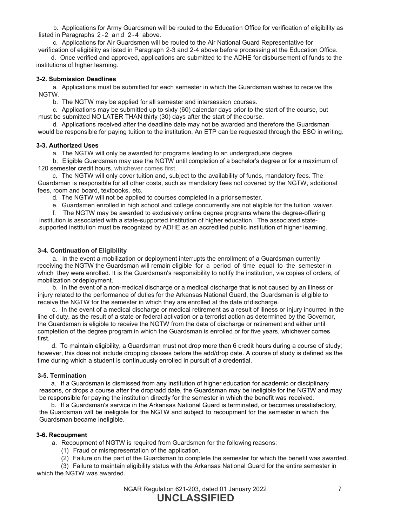b. Applications for Army Guardsmen will be routed to the Education Office for verification of eligibility as listed in Paragraphs 2-2 and 2-4 above.

c. Applications for Air Guardsmen will be routed to the Air National Guard Representative for verification of eligibility as listed in Paragraph 2-3 and 2-4 above before processing at the Education Office.

d. Once verified and approved, applications are submitted to the ADHE for disbursement of funds to the institutions of higher learning.

#### **3-2. Submission Deadlines**

a. Applications must be submitted for each semester in which the Guardsman wishes to receive the NGTW.

b. The NGTW may be applied for all semester and intersession courses.

c. Applications may be submitted up to sixty (60) calendar days prior to the start of the course, but must be submitted NO LATER THAN thirty (30) days after the start of the course.

d. Applications received after the deadline date may not be awarded and therefore the Guardsman would be responsible for paying tuition to the institution. An ETP can be requested through the ESO in writing.

#### **3-3. Authorized Uses**

a. The NGTW will only be awarded for programs leading to an undergraduate degree.

b. Eligible Guardsman may use the NGTW until completion of a bachelor's degree or for a maximum of 120 semester credit hours, whichever comes first.

c. The NGTW will only cover tuition and, subject to the availability of funds, mandatory fees. The Guardsman is responsible for all other costs, such as mandatory fees not covered by the NGTW, additional fees, room and board, textbooks, etc.

d. The NGTW will not be applied to courses completed in a prior semester.

e. Guardsmen enrolled in high school and college concurrently are not eligible for the tuition waiver.

f. The NGTW may be awarded to exclusively online degree programs where the degree-offering institution is associated with a state-supported institution of higher education. The associated statesupported institution must be recognized by ADHE as an accredited public institution of higher learning.

## **3-4. Continuation of Eligibility**

a. In the event a mobilization or deployment interrupts the enrollment of a Guardsman currently receiving the NGTW the Guardsman will remain eligible for a period of time equal to the semester in which they were enrolled. It is the Guardsman's responsibility to notify the institution, via copies of orders, of mobilization ordeployment.

b. In the event of a non-medical discharge or a medical discharge that is not caused by an illness or injury related to the performance of duties for the Arkansas National Guard, the Guardsman is eligible to receive the NGTW for the semester in which they are enrolled at the date of discharge.

c. In the event of a medical discharge or medical retirement as a result of illness or injury incurred in the line of duty, as the result of a state or federal activation or a terrorist action as determined by the Governor, the Guardsman is eligible to receive the NGTW from the date of discharge or retirement and either until completion of the degree program in which the Guardsman is enrolled or for five years, whichever comes first.

d. To maintain eligibility, a Guardsman must not drop more than 6 credit hours during a course of study; however, this does not include dropping classes before the add/drop date. A course of study is defined as the time during which a student is continuously enrolled in pursuit of a credential.

## **3-5. Termination**

a. If a Guardsman is dismissed from any institution of higher education for academic or disciplinary reasons, or drops a course after the drop/add date, the Guardsman may be ineligible for the NGTW and may be responsible for paying the institution directly for the semester in which the benefit was received.

b. If a Guardsman's service in the Arkansas National Guard is terminated, or becomes unsatisfactory, the Guardsman will be ineligible for the NGTW and subject to recoupment for the semester in which the Guardsman became ineligible.

#### **3-6. Recoupment**

a. Recoupment of NGTW is required from Guardsmen for the following reasons:

- (1) Fraud or misrepresentation of the application.
- (2) Failure on the part of the Guardsman to complete the semester for which the benefit was awarded.

(3) Failure to maintain eligibility status with the Arkansas National Guard for the entire semester in which the NGTW was awarded.

> NGAR Regulation 621-203, dated 01 January 2022 7 **UNCLASSIFIED**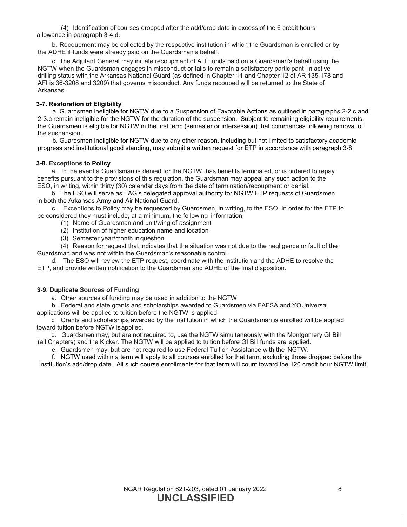(4) Identification of courses dropped after the add/drop date in excess of the 6 credit hours allowance in paragraph 3-4.d.

b. Recoupment may be collected by the respective institution in which the Guardsman is enrolled or by the ADHE if funds were already paid on the Guardsman's behalf.

c. The Adjutant General may initiate recoupment of ALL funds paid on a Guardsman's behalf using the NGTW when the Guardsman engages in misconduct or fails to remain a satisfactory participant in active drilling status with the Arkansas National Guard (as defined in Chapter 11 and Chapter 12 of AR 135-178 and AFI is 36-3208 and 3209) that governs misconduct. Any funds recouped will be returned to the State of Arkansas.

## **3-7. Restoration of Eligibility**

a. Guardsmen ineligible for NGTW due to a Suspension of Favorable Actions as outlined in paragraphs 2-2.c and 2-3.c remain ineligible for the NGTW for the duration of the suspension. Subject to remaining eligibility requirements, the Guardsmen is eligible for NGTW in the first term (semester or intersession) that commences following removal of the suspension.

b. Guardsmen ineligible for NGTW due to any other reason, including but not limited to satisfactory academic progress and institutional good standing, may submit a written request for ETP in accordance with paragraph 3-8.

#### **3-8. Exceptions to Policy**

a. In the event a Guardsman is denied for the NGTW, has benefits terminated, or is ordered to repay benefits pursuant to the provisions of this regulation, the Guardsman may appeal any such action to the ESO, in writing, within thirty (30) calendar days from the date of termination/recoupment or denial.

b. The ESO will serve as TAG's delegated approval authority for NGTW ETP requests of Guardsmen in both the Arkansas Army and Air National Guard.

c. Exceptions to Policy may be requested by Guardsmen, in writing, to the ESO. In order for the ETP to be considered they must include, at a minimum, the following information:

- (1) Name of Guardsman and unit/wing of assignment
- (2) Institution of higher education name and location
- (3) Semester year/month inquestion

(4) Reason for request that indicates that the situation was not due to the negligence or fault of the Guardsman and was not within the Guardsman's reasonable control.

d. The ESO will review the ETP request, coordinate with the institution and the ADHE to resolve the ETP, and provide written notification to the Guardsmen and ADHE of the final disposition.

#### **3-9. Duplicate Sources of Funding**

a. Other sources of funding may be used in addition to the NGTW.

b. Federal and state grants and scholarships awarded to Guardsmen via FAFSA and YOUniversal applications will be applied to tuition before the NGTW is applied.

c. Grants and scholarships awarded by the institution in which the Guardsman is enrolled will be applied toward tuition before NGTW isapplied.

d. Guardsmen may, but are not required to, use the NGTW simultaneously with the Montgomery GI Bill (all Chapters) and the Kicker. The NGTW will be applied to tuition before GI Bill funds are applied.

e. Guardsmen may, but are not required to use Federal Tuition Assistance with the NGTW.

f. NGTW used within a term will apply to all courses enrolled for that term, excluding those dropped before the institution's add/drop date. All such course enrollments for that term will count toward the 120 credit hour NGTW limit.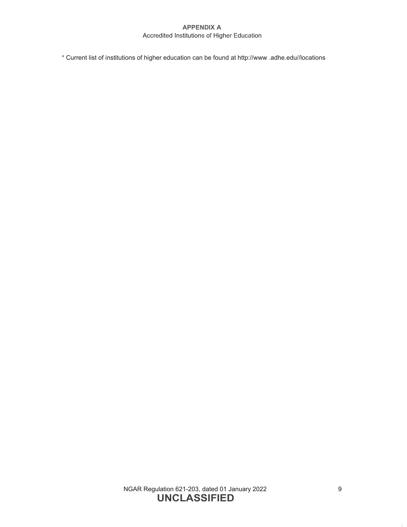# **APPENDIX A** Accredited Institutions of Higher Education

\* Current list of institutions of higher education can be found a[t http://www .](http://www/)adhe.edu//locations